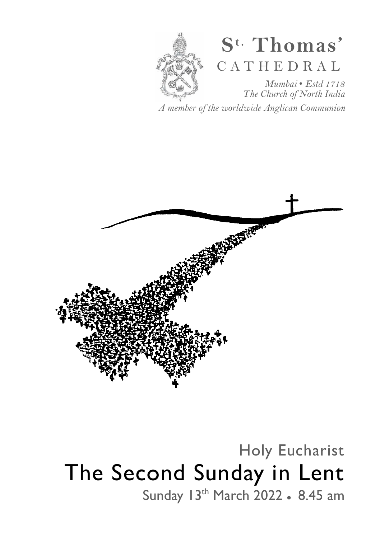

# **S t. Thomas'**  C A T H E D R A L

*Mumbai* • *Estd 1718 The Church of North India* 

*A member of the worldwide Anglican Communion* 



# Holy Eucharist The Second Sunday in Lent Sunday 13<sup>th</sup> March 2022 • 8.45 am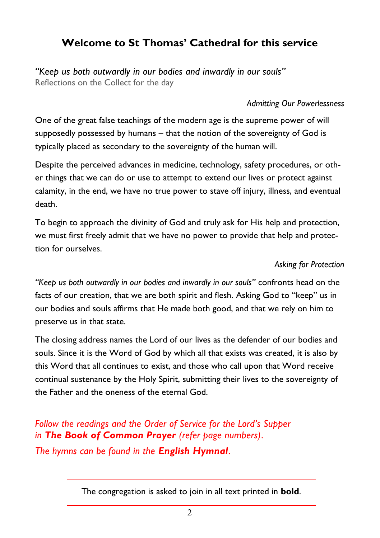# **Welcome to St Thomas' Cathedral for this service**

*"Keep us both outwardly in our bodies and inwardly in our souls"*  Reflections on the Collect for the day

#### *Admitting Our Powerlessness*

One of the great false teachings of the modern age is the supreme power of will supposedly possessed by humans – that the notion of the sovereignty of God is typically placed as secondary to the sovereignty of the human will.

Despite the perceived advances in medicine, technology, safety procedures, or other things that we can do or use to attempt to extend our lives or protect against calamity, in the end, we have no true power to stave off injury, illness, and eventual death.

To begin to approach the divinity of God and truly ask for His help and protection, we must first freely admit that we have no power to provide that help and protection for ourselves.

#### *Asking for Protection*

*"Keep us both outwardly in our bodies and inwardly in our souls"* confronts head on the facts of our creation, that we are both spirit and flesh. Asking God to "keep" us in our bodies and souls affirms that He made both good, and that we rely on him to preserve us in that state.

The closing address names the Lord of our lives as the defender of our bodies and souls. Since it is the Word of God by which all that exists was created, it is also by this Word that all continues to exist, and those who call upon that Word receive continual sustenance by the Holy Spirit, submitting their lives to the sovereignty of the Father and the oneness of the eternal God.

*Follow the readings and the Order of Service for the Lord's Supper in The Book of Common Prayer (refer page numbers)*. *The hymns can be found in the English Hymnal*.

The congregation is asked to join in all text printed in **bold**.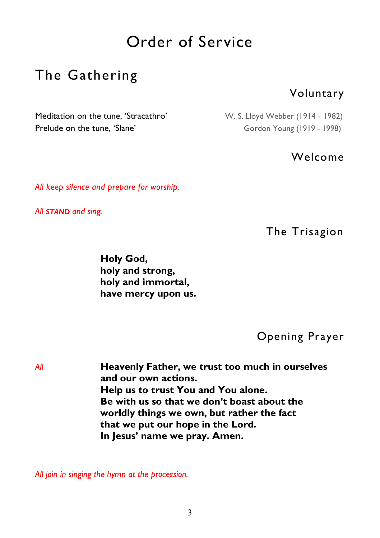# Order of Service

# The Gathering

## Voluntary

Meditation on the tune, 'Stracathro' W. S. Lloyd Webber (1914 - 1982) Prelude on the tune, 'Slane' Gordon Young (1919 - 1998)

#### Welcome

*All keep silence and prepare for worship.* 

*All STAND and sing.* 

The Trisagion

 **Holy God, holy and strong, holy and immortal, have mercy upon us.** 

Opening Prayer

*All* **Heavenly Father, we trust too much in ourselves and our own actions. Help us to trust You and You alone. Be with us so that we don't boast about the worldly things we own, but rather the fact that we put our hope in the Lord. In Jesus' name we pray. Amen.**

*All join in singing the hymn at the procession.*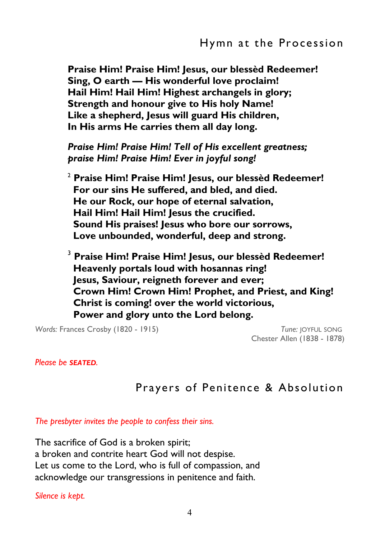**Praise Him! Praise Him! Jesus, our blessèd Redeemer! Sing, O earth — His wonderful love proclaim! Hail Him! Hail Him! Highest archangels in glory; Strength and honour give to His holy Name! Like a shepherd, Jesus will guard His children, In His arms He carries them all day long.** 

*Praise Him! Praise Him! Tell of His excellent greatness; praise Him! Praise Him! Ever in joyful song!* 

<sup>2</sup> **Praise Him! Praise Him! Jesus, our blessèd Redeemer! For our sins He suffered, and bled, and died. He our Rock, our hope of eternal salvation, Hail Him! Hail Him! Jesus the crucified. Sound His praises! Jesus who bore our sorrows, Love unbounded, wonderful, deep and strong.** 

<sup>3</sup> **Praise Him! Praise Him! Jesus, our blessèd Redeemer! Heavenly portals loud with hosannas ring! Jesus, Saviour, reigneth forever and ever; Crown Him! Crown Him! Prophet, and Priest, and King! Christ is coming! over the world victorious, Power and glory unto the Lord belong.** 

*Words:* Frances Crosby (1820 - 1915) *Tune:* JOYFUL SONG

Chester Allen (1838 - 1878)

#### *Please be SEATED.*

## Prayers of Penitence & Absolution

*The presbyter invites the people to confess their sins.* 

The sacrifice of God is a broken spirit; a broken and contrite heart God will not despise. Let us come to the Lord, who is full of compassion, and acknowledge our transgressions in penitence and faith.

*Silence is kept.*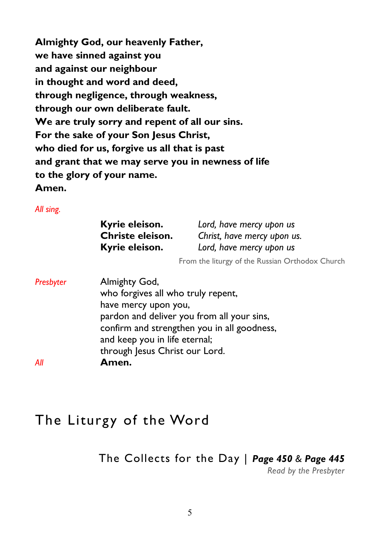**Almighty God, our heavenly Father, we have sinned against you and against our neighbour in thought and word and deed, through negligence, through weakness, through our own deliberate fault. We are truly sorry and repent of all our sins. For the sake of your Son Jesus Christ, who died for us, forgive us all that is past and grant that we may serve you in newness of life to the glory of your name. Amen.** 

*All sing.* 

| Kyrie eleison.<br>Christe eleison. | Lord, have mercy upon us                                |
|------------------------------------|---------------------------------------------------------|
| Kyrie eleison.                     | Christ, have mercy upon us.<br>Lord, have mercy upon us |
|                                    | From the liturgy of the Russian Orthodox                |

| Presbyter | Almighty God,                               |
|-----------|---------------------------------------------|
|           | who forgives all who truly repent,          |
|           | have mercy upon you,                        |
|           | pardon and deliver you from all your sins,  |
|           | confirm and strengthen you in all goodness, |
|           | and keep you in life eternal;               |
|           | through Jesus Christ our Lord.              |
| All       | Amen.                                       |

# The Liturgy of the Word

## The Collects for the Day | *Page 450 & Page 445*

*Read by the Presbyter* 

Church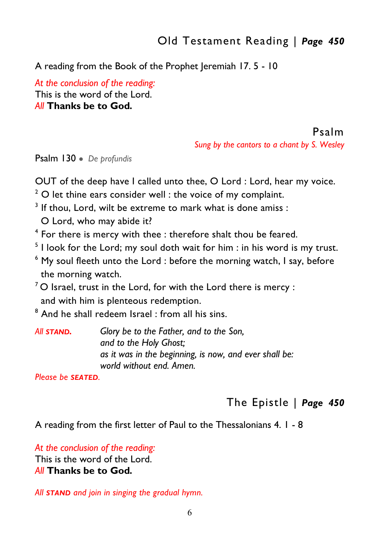# Old Testament Reading | *Page 450*

#### A reading from the Book of the Prophet Jeremiah 17.5 - 10

*At the conclusion of the reading:*  This is the word of the Lord. *All* **Thanks be to God***.* 

#### Psalm

*Sung by the cantors to a chant by S. Wesley* 

Psalm 130 ● *De profundis* 

OUT of the deep have I called unto thee, O Lord : Lord, hear my voice.

- $2$  O let thine ears consider well : the voice of my complaint.
- $3$  If thou, Lord, wilt be extreme to mark what is done amiss :

O Lord, who may abide it?

- <sup>4</sup> For there is mercy with thee : therefore shalt thou be feared.
- $^5$  I look for the Lord; my soul doth wait for him : in his word is my trust.
- $^6$  My soul fleeth unto the Lord : before the morning watch, I say, before the morning watch.
- $7$  O Israel, trust in the Lord, for with the Lord there is mercy : and with him is plenteous redemption.

 $^{\rm 8}$  And he shall redeem Israel : from all his sins.

*All STAND. Glory be to the Father, and to the Son, and to the Holy Ghost; as it was in the beginning, is now, and ever shall be: world without end. Amen.* 

*Please be SEATED.* 

# The Epistle | *Page 450*

A reading from the first letter of Paul to the Thessalonians 4. 1 - 8

*At the conclusion of the reading:*  This is the word of the Lord. *All* **Thanks be to God***.* 

*All STAND and join in singing the gradual hymn.*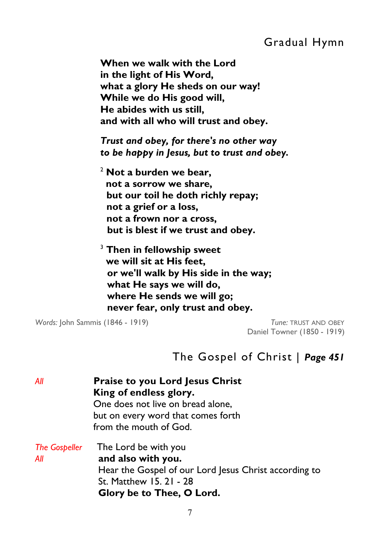# Gradual Hymn

 **When we walk with the Lord in the light of His Word, what a glory He sheds on our way! While we do His good will, He abides with us still, and with all who will trust and obey.**

 *Trust and obey, for there's no other way to be happy in Jesus, but to trust and obey.* 

<sup>2</sup> **Not a burden we bear, not a sorrow we share, but our toil he doth richly repay; not a grief or a loss, not a frown nor a cross, but is blest if we trust and obey.**

<sup>3</sup> **Then in fellowship sweet we will sit at His feet, or we'll walk by His side in the way; what He says we will do, where He sends we will go; never fear, only trust and obey.** 

*Words:* John Sammis (1846 - 1919) *Tune:* TRUST AND OBEY

Daniel Towner (1850 - 1919)

## The Gospel of Christ | *Page 451*

| All                         | <b>Praise to you Lord Jesus Christ</b><br>King of endless glory.<br>One does not live on bread alone,<br>but on every word that comes forth<br>from the mouth of God. |
|-----------------------------|-----------------------------------------------------------------------------------------------------------------------------------------------------------------------|
| <b>The Gospeller</b><br>All | The Lord be with you<br>and also with you.<br>Hear the Gospel of our Lord Jesus Christ according to<br>St. Matthew 15. 21 - 28<br>Glory be to Thee, O Lord.           |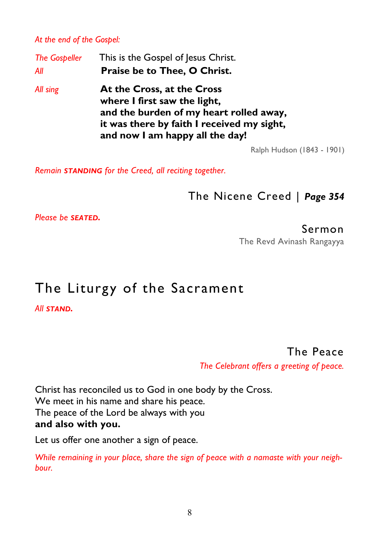*At the end of the Gospel:* 

| <b>The Gospeller</b> | This is the Gospel of Jesus Christ.                                                                                                                                                    |
|----------------------|----------------------------------------------------------------------------------------------------------------------------------------------------------------------------------------|
| All                  | Praise be to Thee, O Christ.                                                                                                                                                           |
| All sing             | At the Cross, at the Cross<br>where I first saw the light,<br>and the burden of my heart rolled away,<br>it was there by faith I received my sight,<br>and now I am happy all the day! |

Ralph Hudson (1843 - 1901)

*Remain STANDING for the Creed, all reciting together.* 

The Nicene Creed | *Page 354* 

*Please be SEATED.* 

Sermon

The Revd Avinash Rangayya

# The Liturgy of the Sacrament

*All STAND.*

The Peace

*The Celebrant offers a greeting of peace.*

Christ has reconciled us to God in one body by the Cross. We meet in his name and share his peace. The peace of the Lord be always with you **and also with you.** 

Let us offer one another a sign of peace.

*While remaining in your place, share the sign of peace with a namaste with your neighbour.*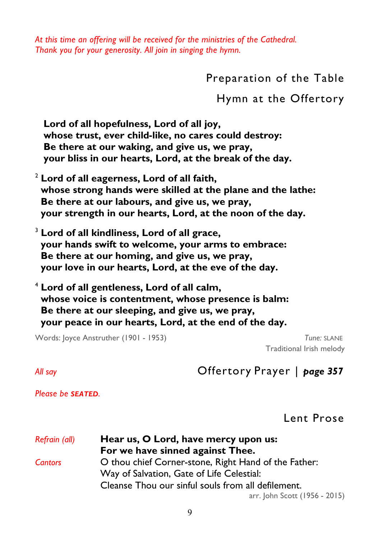*At this time an offering will be received for the ministries of the Cathedral. Thank you for your generosity. All join in singing the hymn.* 

Preparation of the Table

Hymn at the Offertory

 **Lord of all hopefulness, Lord of all joy, whose trust, ever child-like, no cares could destroy: Be there at our waking, and give us, we pray, your bliss in our hearts, Lord, at the break of the day.** 

<sup>2</sup> **Lord of all eagerness, Lord of all faith, whose strong hands were skilled at the plane and the lathe: Be there at our labours, and give us, we pray, your strength in our hearts, Lord, at the noon of the day.** 

<sup>3</sup> **Lord of all kindliness, Lord of all grace, your hands swift to welcome, your arms to embrace: Be there at our homing, and give us, we pray, your love in our hearts, Lord, at the eve of the day.** 

<sup>4</sup> **Lord of all gentleness, Lord of all calm, whose voice is contentment, whose presence is balm: Be there at our sleeping, and give us, we pray, your peace in our hearts, Lord, at the end of the day.** 

Words: Joyce Anstruther (1901 - 1953) *Tune:* SLANE

Traditional Irish melody

*All say* Offertory Prayer | *page 357* 

*Please be SEATED.* 

Lent Prose

| Refrain (all)  | Hear us, O Lord, have mercy upon us:                 |  |
|----------------|------------------------------------------------------|--|
|                | For we have sinned against Thee.                     |  |
| <b>Cantors</b> | O thou chief Corner-stone, Right Hand of the Father: |  |
|                | Way of Salvation, Gate of Life Celestial:            |  |
|                | Cleanse Thou our sinful souls from all defilement.   |  |
|                | arr. John Scott (1956 - 2015)                        |  |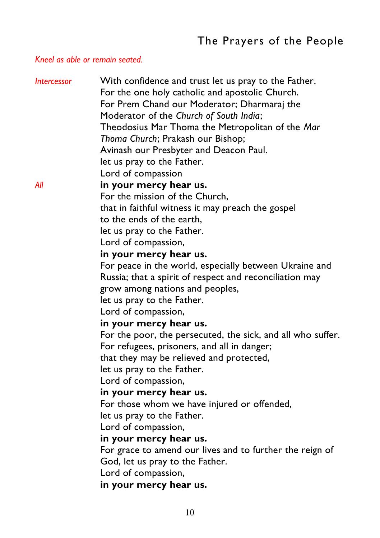#### *Kneel as able or remain seated.*

| <b>Intercessor</b> | With confidence and trust let us pray to the Father.        |
|--------------------|-------------------------------------------------------------|
|                    | For the one holy catholic and apostolic Church.             |
|                    | For Prem Chand our Moderator; Dharmaraj the                 |
|                    | Moderator of the Church of South India;                     |
|                    | Theodosius Mar Thoma the Metropolitan of the Mar            |
|                    | Thoma Church; Prakash our Bishop;                           |
|                    | Avinash our Presbyter and Deacon Paul.                      |
|                    | let us pray to the Father.                                  |
|                    | Lord of compassion                                          |
| All                | in your mercy hear us.                                      |
|                    | For the mission of the Church,                              |
|                    | that in faithful witness it may preach the gospel           |
|                    | to the ends of the earth,                                   |
|                    | let us pray to the Father.                                  |
|                    | Lord of compassion,                                         |
|                    | in your mercy hear us.                                      |
|                    | For peace in the world, especially between Ukraine and      |
|                    | Russia; that a spirit of respect and reconciliation may     |
|                    | grow among nations and peoples,                             |
|                    | let us pray to the Father.                                  |
|                    | Lord of compassion,                                         |
|                    | in your mercy hear us.                                      |
|                    | For the poor, the persecuted, the sick, and all who suffer. |
|                    | For refugees, prisoners, and all in danger;                 |
|                    | that they may be relieved and protected,                    |
|                    | let us pray to the Father.                                  |
|                    | Lord of compassion,                                         |
|                    | in your mercy hear us.                                      |
|                    | For those whom we have injured or offended,                 |
|                    | let us pray to the Father.                                  |
|                    | Lord of compassion,                                         |
|                    | in your mercy hear us.                                      |
|                    | For grace to amend our lives and to further the reign of    |
|                    | God, let us pray to the Father.                             |
|                    | Lord of compassion,                                         |
|                    | in your mercy hear us.                                      |
|                    |                                                             |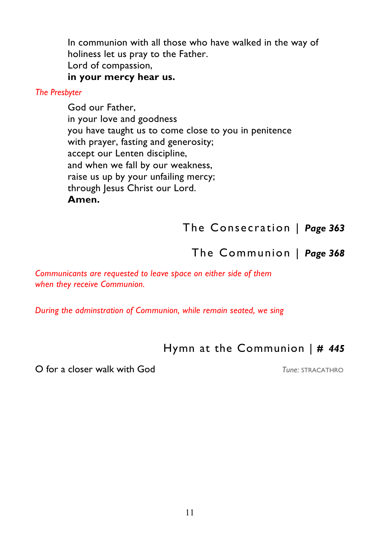In communion with all those who have walked in the way of holiness let us pray to the Father. Lord of compassion,  **in your mercy hear us.** 

#### *The Presbyter*

 God our Father, in your love and goodness you have taught us to come close to you in penitence with prayer, fasting and generosity; accept our Lenten discipline, and when we fall by our weakness, raise us up by your unfailing mercy; through Jesus Christ our Lord.  **Amen.**

The Consecration | *Page 363* 

The Communion | *Page 368* 

*Communicants are requested to leave space on either side of them when they receive Communion.* 

*During the adminstration of Communion, while remain seated, we sing* 

# Hymn at the Communion | *# 445*

O for a closer walk with God *Tune:* STRACATHRO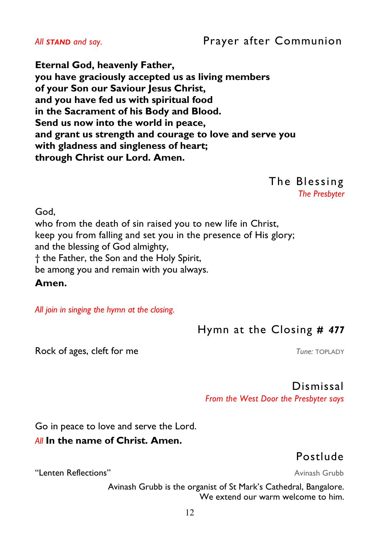## *All STAND and say.* Prayer after Communion

**Eternal God, heavenly Father, you have graciously accepted us as living members of your Son our Saviour Jesus Christ, and you have fed us with spiritual food in the Sacrament of his Body and Blood. Send us now into the world in peace, and grant us strength and courage to love and serve you with gladness and singleness of heart; through Christ our Lord. Amen.** 

The Blessing

*The Presbyter* 

God,

who from the death of sin raised you to new life in Christ, keep you from falling and set you in the presence of His glory; and the blessing of God almighty, † the Father, the Son and the Holy Spirit, be among you and remain with you always.

**Amen.** 

*All join in singing the hymn at the closing.* 

# Hymn at the Closing *# 477*

Rock of ages, cleft for me *Tune: TOPLADY* 

Dismissal

*From the West Door the Presbyter says* 

Go in peace to love and serve the Lord.

#### *All* **In the name of Christ. Amen.**

Postlude

"Lenten Reflections" Avinash Grubb **Avinash Grubb** Avinash Grubb

Avinash Grubb is the organist of St Mark's Cathedral, Bangalore. We extend our warm welcome to him.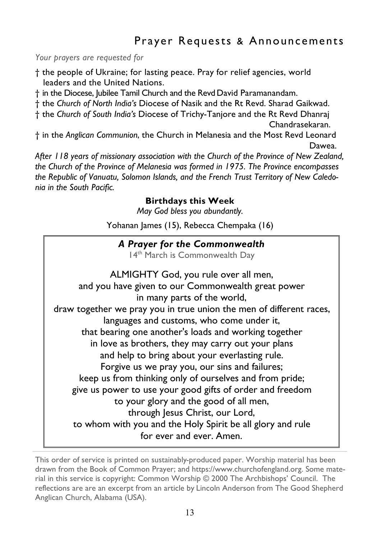# Prayer Requests & Announcements

*Your prayers are requested for* 

† the people of Ukraine; for lasting peace. Pray for relief agencies, world leaders and the United Nations.

† in the Diocese, Jubilee Tamil Church and the Revd David Paramanandam.

† the *Church of North India's* Diocese of Nasik and the Rt Revd. Sharad Gaikwad.

† the *Church of South India's* Diocese of Trichy-Tanjore and the Rt Revd Dhanraj Chandrasekaran.

† in the *Anglican Communion*, the Church in Melanesia and the Most Revd Leonard Dawea.

*After 118 years of missionary association with the Church of the Province of New Zealand, the Church of the Province of Melanesia was formed in 1975. The Province encompasses the Republic of Vanuatu, Solomon Islands, and the French Trust Territory of New Caledonia in the South Pacific.* 

#### **Birthdays this Week**

*May God bless you abundantly.* 

Yohanan James (15), Rebecca Chempaka (16)

#### *A Prayer for the Commonwealth*

14<sup>th</sup> March is Commonwealth Day

ALMIGHTY God, you rule over all men, and you have given to our Commonwealth great power in many parts of the world, draw together we pray you in true union the men of different races, languages and customs, who come under it, that bearing one another's loads and working together in love as brothers, they may carry out your plans and help to bring about your everlasting rule. Forgive us we pray you, our sins and failures; keep us from thinking only of ourselves and from pride; give us power to use your good gifts of order and freedom to your glory and the good of all men, through Jesus Christ, our Lord, to whom with you and the Holy Spirit be all glory and rule for ever and ever. Amen.

This order of service is printed on sustainably-produced paper. Worship material has been drawn from the Book of Common Prayer; and https://www.churchofengland.org. Some material in this service is copyright: Common Worship © 2000 The Archbishops' Council. The reflections are are an excerpt from an article by Lincoln Anderson from The Good Shepherd [Anglican Church,](http://goodshepherdoa.org/) Alabama (USA).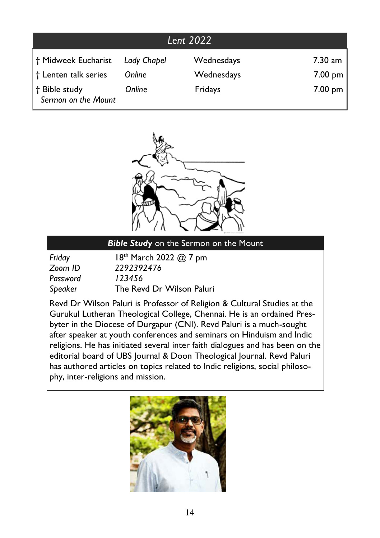|                                      |             | Lent 2022  |                   |
|--------------------------------------|-------------|------------|-------------------|
| † Midweek Eucharist                  | Lady Chapel | Wednesdays | $7.30$ am         |
| † Lenten talk series                 | Online      | Wednesdays | $7.00 \text{ pm}$ |
| t Bible study<br>Sermon on the Mount | Online      | Fridays    | $7.00 \text{ pm}$ |



#### *Bible Study* on the Sermon on the Mount

| Friday   | 18 <sup>th</sup> March 2022 @ 7 pm |
|----------|------------------------------------|
| Zoom ID  | 2292392476                         |
| Password | 123456                             |
| Speaker  | The Revd Dr Wilson Paluri          |

Revd Dr Wilson Paluri is Professor of Religion & Cultural Studies at the Gurukul Lutheran Theological College, Chennai. He is an ordained Presbyter in the Diocese of Durgapur (CNI). Revd Paluri is a much-sought after speaker at youth conferences and seminars on Hinduism and Indic religions. He has initiated several inter faith dialogues and has been on the editorial board of UBS Journal & Doon Theological Journal. Revd Paluri has authored articles on topics related to Indic religions, social philosophy, inter-religions and mission.

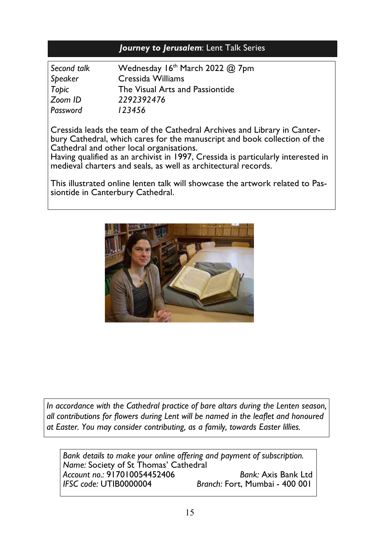#### *Journey to Jerusalem*: Lent Talk Series

| Second talk | Wednesday 16th March 2022 @ 7pm |
|-------------|---------------------------------|
| Speaker     | Cressida Williams               |
| Topic       | The Visual Arts and Passiontide |
| Zoom ID     | 2292392476                      |
| Password    | 123456                          |

Cressida leads the team of the Cathedral Archives and Library in Canterbury Cathedral, which cares for the manuscript and book collection of the Cathedral and other local organisations.

Having qualified as an archivist in 1997, Cressida is particularly interested in medieval charters and seals, as well as architectural records.

This illustrated online lenten talk will showcase the artwork related to Passiontide in Canterbury Cathedral.



*In accordance with the Cathedral practice of bare altars during the Lenten season, all contributions for flowers during Lent will be named in the leaflet and honoured at Easter. You may consider contributing, as a family, towards Easter lillies.* 

*Bank details to make your online offering and payment of subscription. Name:* Society of St Thomas' Cathedral *Account no.:* 917010054452406 *Bank:* Axis Bank Ltd *Branch: Fort, Mumbai - 400 001*